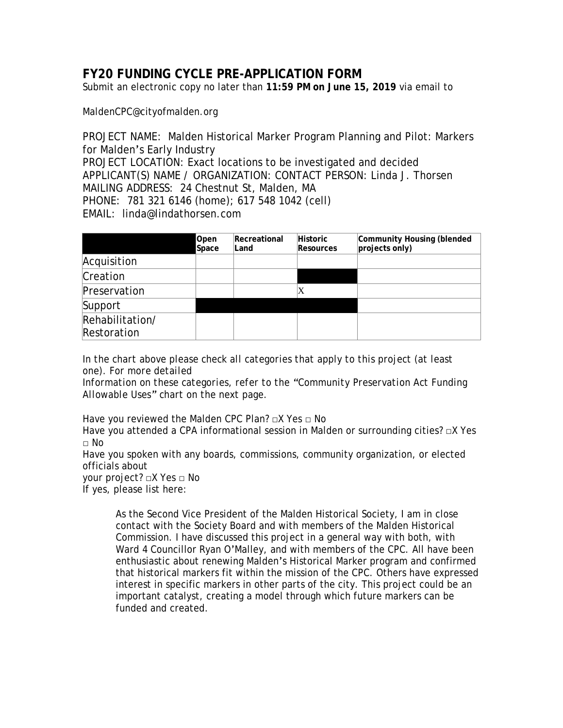# **FY20 FUNDING CYCLE PRE-APPLICATION FORM**

Submit an electronic copy no later than **11:59 PM on June 15, 2019** via email to

MaldenCPC@cityofmalden.org

PROJECT NAME: Malden Historical Marker Program Planning and Pilot: Markers for Malden's Early Industry PROJECT LOCATION: Exact locations to be investigated and decided APPLICANT(S) NAME / ORGANIZATION: CONTACT PERSON: Linda J. Thorsen MAILING ADDRESS: 24 Chestnut St, Malden, MA PHONE: 781 321 6146 (home); 617 548 1042 (cell) EMAIL: linda@lindathorsen.com

|                                | Open<br>Space | Recreational<br>Land | <b>Historic</b><br><b>Resources</b> | Community Housing (blended<br>projects only) |
|--------------------------------|---------------|----------------------|-------------------------------------|----------------------------------------------|
| Acquisition                    |               |                      |                                     |                                              |
| Creation                       |               |                      |                                     |                                              |
| Preservation                   |               |                      | X                                   |                                              |
| Support                        |               |                      |                                     |                                              |
| Rehabilitation/<br>Restoration |               |                      |                                     |                                              |

*In the chart above please check all categories that apply to this project (at least one). For more detailed*

*Information on these categories, refer to the "Community Preservation Act Funding Allowable Uses" chart on the next page.* 

Have you reviewed the Malden CPC Plan? □X Yes □ No

Have you attended a CPA informational session in Malden or surrounding cities? □X Yes □ No

Have you spoken with any boards, commissions, community organization, or elected officials about

your project? □X Yes □ No

If yes, please list here:

As the Second Vice President of the Malden Historical Society, I am in close contact with the Society Board and with members of the Malden Historical Commission. I have discussed this project in a general way with both, with Ward 4 Councillor Ryan O'Malley, and with members of the CPC. All have been enthusiastic about renewing Malden's Historical Marker program and confirmed that historical markers fit within the mission of the CPC. Others have expressed interest in specific markers in other parts of the city. This project could be an important catalyst, creating a model through which future markers can be funded and created.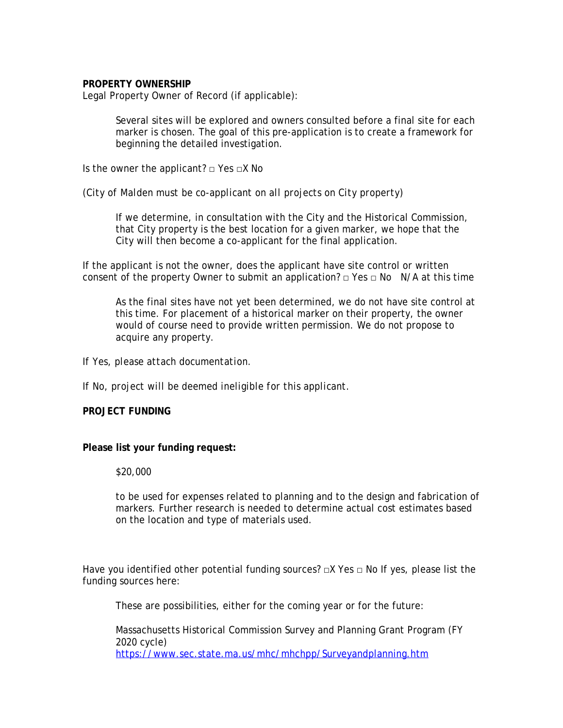## **PROPERTY OWNERSHIP**

Legal Property Owner of Record (if applicable):

Several sites will be explored and owners consulted before a final site for each marker is chosen. The goal of this pre-application is to create a framework for beginning the detailed investigation.

Is the owner the applicant?  $\Box$  Yes  $\Box X$  No

*(City of Malden must be co-applicant on all projects on City property)* 

If we determine, in consultation with the City and the Historical Commission, that City property is the best location for a given marker, we hope that the City will then become a co-applicant for the final application.

If the applicant is not the owner, does the applicant have site control or written consent of the property Owner to submit an application?  $\Box$  Yes  $\Box$  No N/A at this time

As the final sites have not yet been determined, we do not have site control at this time. For placement of a historical marker on their property, the owner would of course need to provide written permission. We do not propose to acquire any property.

*If Yes, please attach documentation.*

*If No, project will be deemed ineligible for this applicant.*

## **PROJECT FUNDING**

## **Please list your funding request:**

\$20,000

to be used for expenses related to planning and to the design and fabrication of markers. Further research is needed to determine actual cost estimates based on the location and type of materials used.

Have you identified other potential funding sources?  $\Box X$  Yes  $\Box$  No If yes, please list the funding sources here:

These are possibilities, either for the coming year or for the future:

Massachusetts Historical Commission Survey and Planning Grant Program (FY 2020 cycle) <https://www.sec.state.ma.us/mhc/mhchpp/Surveyandplanning.htm>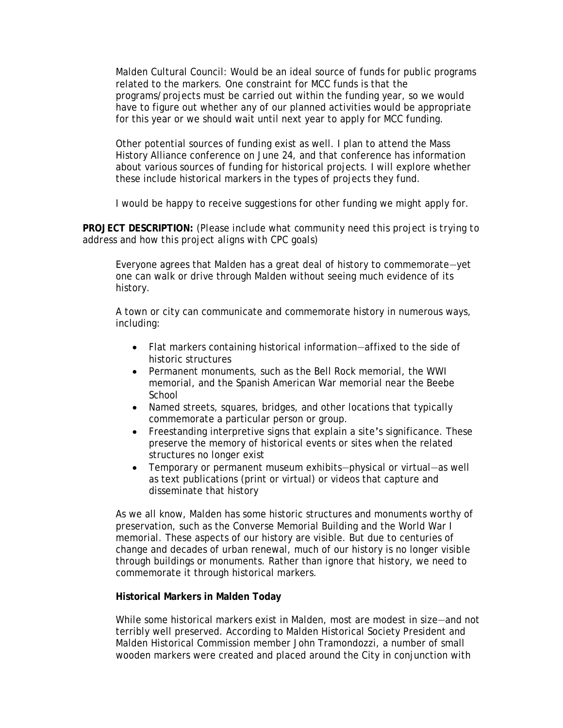Malden Cultural Council: Would be an ideal source of funds for public programs related to the markers. One constraint for MCC funds is that the programs/projects must be carried out within the funding year, so we would have to figure out whether any of our planned activities would be appropriate for this year or we should wait until next year to apply for MCC funding.

Other potential sources of funding exist as well. I plan to attend the Mass History Alliance conference on June 24, and that conference has information about various sources of funding for historical projects. I will explore whether these include historical markers in the types of projects they fund.

I would be happy to receive suggestions for other funding we might apply for.

**PROJECT DESCRIPTION:** *(Please include what community need this project is trying to address and how this project aligns with CPC goals)* 

Everyone agrees that Malden has a great deal of history to commemorate—yet one can walk or drive through Malden without seeing much evidence of its history.

A town or city can communicate and commemorate history in numerous ways, including:

- Flat markers containing historical information—affixed to the side of historic structures
- Permanent monuments, such as the Bell Rock memorial, the WWI memorial, and the Spanish American War memorial near the Beebe **School**
- Named streets, squares, bridges, and other locations that typically commemorate a particular person or group.
- Freestanding interpretive signs that explain a site's significance. These preserve the memory of historical events or sites when the related structures no longer exist
- Temporary or permanent museum exhibits—physical or virtual—as well as text publications (print or virtual) or videos that capture and disseminate that history

As we all know, Malden has some historic structures and monuments worthy of preservation, such as the Converse Memorial Building and the World War I memorial. These aspects of our history are visible. But due to centuries of change and decades of urban renewal, much of our history is no longer visible through buildings or monuments. Rather than ignore that history, we need to commemorate it through historical markers.

## **Historical Markers in Malden Today**

While some historical markers exist in Malden, most are modest in size—and not terribly well preserved. According to Malden Historical Society President and Malden Historical Commission member John Tramondozzi, a number of small wooden markers were created and placed around the City in conjunction with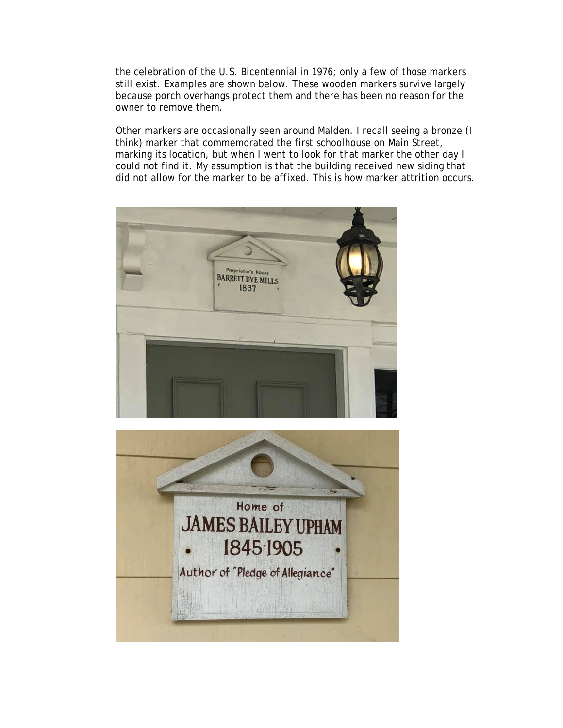the celebration of the U.S. Bicentennial in 1976; only a few of those markers still exist. Examples are shown below. These wooden markers survive largely because porch overhangs protect them and there has been no reason for the owner to remove them.

Other markers are occasionally seen around Malden. I recall seeing a bronze (I think) marker that commemorated the first schoolhouse on Main Street, marking its location, but when I went to look for that marker the other day I could not find it. My assumption is that the building received new siding that did not allow for the marker to be affixed. This is how marker attrition occurs.



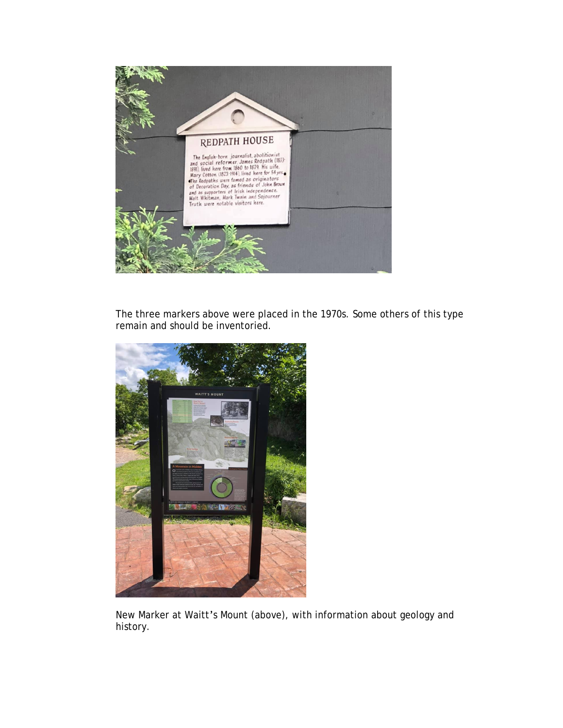

The three markers above were placed in the 1970s. Some others of this type remain and should be inventoried.



New Marker at Waitt's Mount (above), with information about geology and history.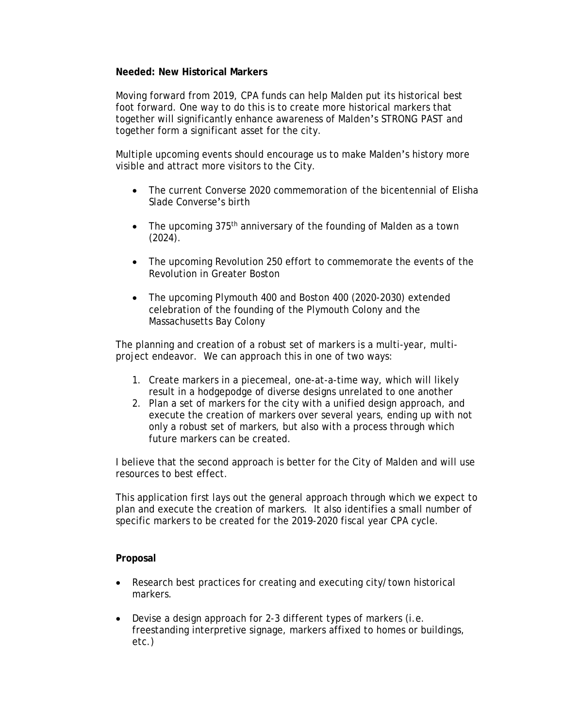## **Needed: New Historical Markers**

Moving forward from 2019, CPA funds can help Malden put its historical best foot forward. One way to do this is to create more historical markers that together will significantly enhance awareness of Malden's STRONG PAST and together form a significant asset for the city.

Multiple upcoming events should encourage us to make Malden's history more visible and attract more visitors to the City.

- The current Converse 2020 commemoration of the bicentennial of Elisha Slade Converse's birth
- The upcoming 375<sup>th</sup> anniversary of the founding of Malden as a town (2024).
- The upcoming Revolution 250 effort to commemorate the events of the Revolution in Greater Boston
- The upcoming Plymouth 400 and Boston 400 (2020-2030) extended celebration of the founding of the Plymouth Colony and the Massachusetts Bay Colony

The planning and creation of a robust set of markers is a multi-year, multiproject endeavor. We can approach this in one of two ways:

- 1. Create markers in a piecemeal, one-at-a-time way, which will likely result in a hodgepodge of diverse designs unrelated to one another
- 2. Plan a set of markers for the city with a unified design approach, and execute the creation of markers over several years, ending up with not only a robust set of markers, but also with a process through which future markers can be created.

I believe that the second approach is better for the City of Malden and will use resources to best effect.

This application first lays out the general approach through which we expect to plan and execute the creation of markers. It also identifies a small number of specific markers to be created for the 2019-2020 fiscal year CPA cycle.

# **Proposal**

- Research best practices for creating and executing city/town historical markers.
- Devise a design approach for 2-3 different types of markers (i.e. freestanding interpretive signage, markers affixed to homes or buildings, etc.)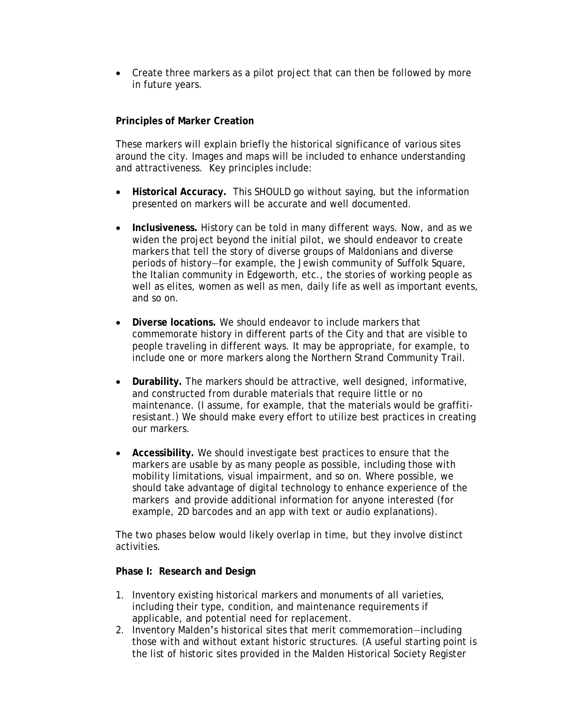• Create three markers as a pilot project that can then be followed by more in future years.

# **Principles of Marker Creation**

These markers will explain briefly the historical significance of various sites around the city. Images and maps will be included to enhance understanding and attractiveness. Key principles include:

- **Historical Accuracy.** This SHOULD go without saying, but the information presented on markers will be accurate and well documented.
- **Inclusiveness.** History can be told in many different ways. Now, and as we widen the project beyond the initial pilot, we should endeavor to create markers that tell the story of diverse groups of Maldonians and diverse periods of history—for example, the Jewish community of Suffolk Square, the Italian community in Edgeworth, etc., the stories of working people as well as elites, women as well as men, daily life as well as important events, and so on.
- **Diverse locations.** We should endeavor to include markers that commemorate history in different parts of the City and that are visible to people traveling in different ways. It may be appropriate, for example, to include one or more markers along the Northern Strand Community Trail.
- **Durability.** The markers should be attractive, well designed, informative, and constructed from durable materials that require little or no maintenance. (I assume, for example, that the materials would be graffitiresistant.) We should make every effort to utilize best practices in creating our markers.
- **Accessibility.** We should investigate best practices to ensure that the markers are usable by as many people as possible, including those with mobility limitations, visual impairment, and so on. Where possible, we should take advantage of digital technology to enhance experience of the markers and provide additional information for anyone interested (for example, 2D barcodes and an app with text or audio explanations).

The two phases below would likely overlap in time, but they involve distinct activities.

# **Phase I: Research and Design**

- 1. Inventory existing historical markers and monuments of all varieties, including their type, condition, and maintenance requirements if applicable, and potential need for replacement.
- 2. Inventory Malden's historical sites that merit commemoration—including those with and without extant historic structures. (A useful starting point is the list of historic sites provided in the Malden Historical Society Register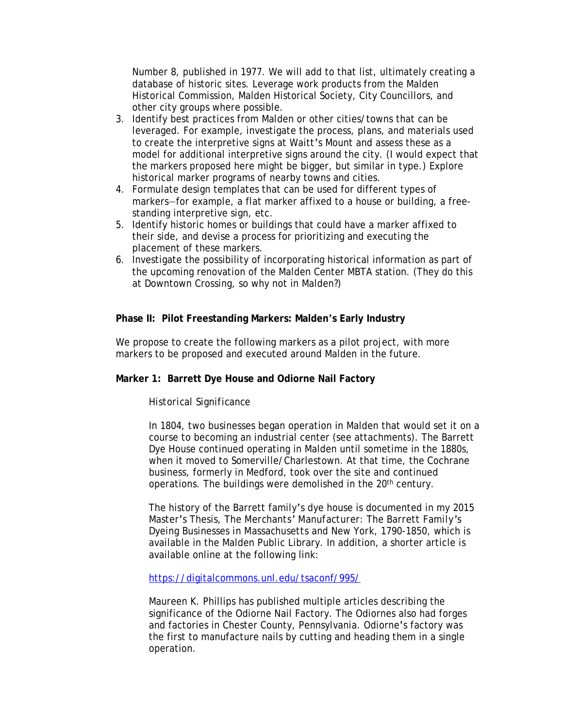Number 8, published in 1977. We will add to that list, ultimately creating a database of historic sites. Leverage work products from the Malden Historical Commission, Malden Historical Society, City Councillors, and other city groups where possible.

- 3. Identify best practices from Malden or other cities/towns that can be leveraged. For example, investigate the process, plans, and materials used to create the interpretive signs at Waitt's Mount and assess these as a model for additional interpretive signs around the city. (I would expect that the markers proposed here might be bigger, but similar in type.) Explore historical marker programs of nearby towns and cities.
- 4. Formulate design templates that can be used for different types of markers—for example, a flat marker affixed to a house or building, a freestanding interpretive sign, etc.
- 5. Identify historic homes or buildings that could have a marker affixed to their side, and devise a process for prioritizing and executing the placement of these markers.
- 6. Investigate the possibility of incorporating historical information as part of the upcoming renovation of the Malden Center MBTA station. (They do this at Downtown Crossing, so why not in Malden?)

# **Phase II: Pilot Freestanding Markers: Malden's Early Industry**

We propose to create the following markers as a pilot project, with more markers to be proposed and executed around Malden in the future.

# **Marker 1: Barrett Dye House and Odiorne Nail Factory**

# *Historical Significance*

In 1804, two businesses began operation in Malden that would set it on a course to becoming an industrial center (see attachments). The Barrett Dye House continued operating in Malden until sometime in the 1880s, when it moved to Somerville/Charlestown. At that time, the Cochrane business, formerly in Medford, took over the site and continued operations. The buildings were demolished in the 20<sup>th</sup> century.

The history of the Barrett family's dye house is documented in my 2015 Master's Thesis, *The Merchants' Manufacturer: The Barrett Family's Dyeing Businesses in Massachusetts and New York, 1790-1850*, which is available in the Malden Public Library. In addition, a shorter article is available online at the following link:

<https://digitalcommons.unl.edu/tsaconf/995/>

Maureen K. Phillips has published multiple articles describing the significance of the Odiorne Nail Factory. The Odiornes also had forges and factories in Chester County, Pennsylvania. Odiorne's factory was the first to manufacture nails by cutting and heading them in a single operation.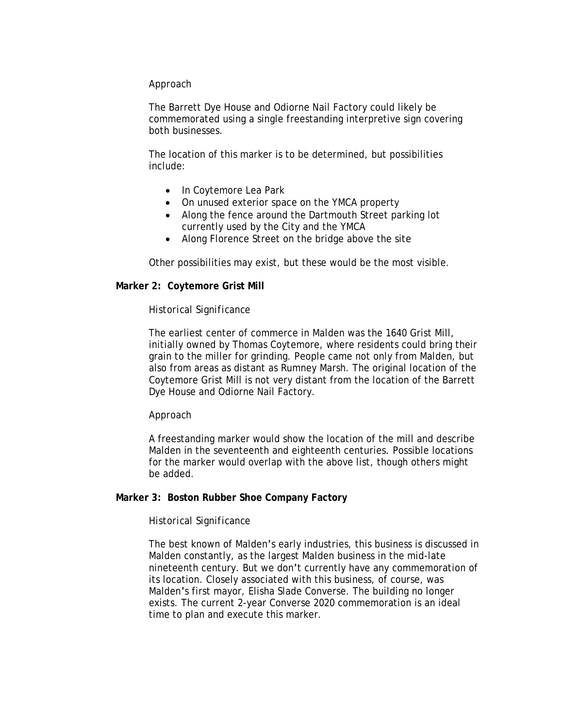## *Approach*

The Barrett Dye House and Odiorne Nail Factory could likely be commemorated using a single freestanding interpretive sign covering both businesses.

The location of this marker is to be determined, but possibilities include:

- In Coytemore Lea Park
- On unused exterior space on the YMCA property
- Along the fence around the Dartmouth Street parking lot currently used by the City and the YMCA
- Along Florence Street on the bridge above the site

Other possibilities may exist, but these would be the most visible.

## **Marker 2: Coytemore Grist Mill**

## *Historical Significance*

The earliest center of commerce in Malden was the 1640 Grist Mill, initially owned by Thomas Coytemore, where residents could bring their grain to the miller for grinding. People came not only from Malden, but also from areas as distant as Rumney Marsh. The original location of the Coytemore Grist Mill is not very distant from the location of the Barrett Dye House and Odiorne Nail Factory.

## *Approach*

A freestanding marker would show the location of the mill and describe Malden in the seventeenth and eighteenth centuries. Possible locations for the marker would overlap with the above list, though others might be added.

## **Marker 3: Boston Rubber Shoe Company Factory**

## *Historical Significance*

The best known of Malden's early industries, this business is discussed in Malden constantly, as the largest Malden business in the mid-late nineteenth century. But we don't currently have any commemoration of its location. Closely associated with this business, of course, was Malden's first mayor, Elisha Slade Converse. The building no longer exists. The current 2-year Converse 2020 commemoration is an ideal time to plan and execute this marker.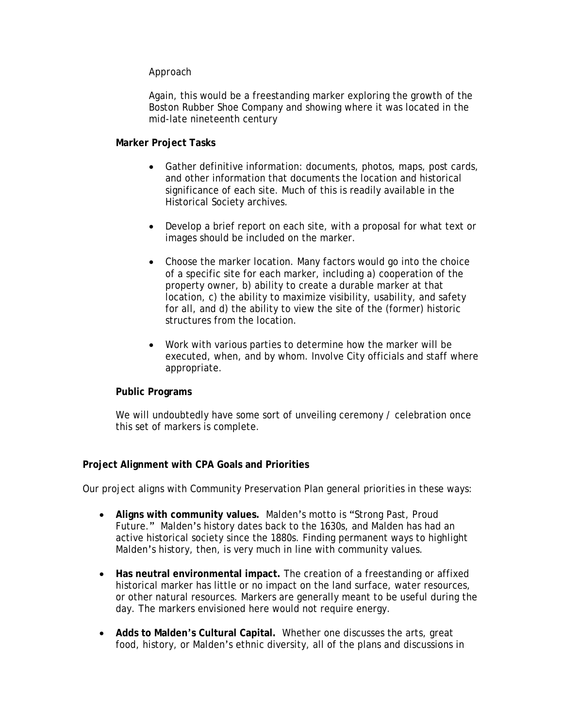## *Approach*

Again, this would be a freestanding marker exploring the growth of the Boston Rubber Shoe Company and showing where it was located in the mid-late nineteenth century

## **Marker Project Tasks**

- Gather definitive information: documents, photos, maps, post cards, and other information that documents the location and historical significance of each site. Much of this is readily available in the Historical Society archives.
- Develop a brief report on each site, with a proposal for what text or images should be included on the marker.
- Choose the marker location. Many factors would go into the choice of a specific site for each marker, including a) cooperation of the property owner, b) ability to create a durable marker at that location, c) the ability to maximize visibility, usability, and safety for all, and d) the ability to view the site of the (former) historic structures from the location.
- Work with various parties to determine how the marker will be executed, when, and by whom. Involve City officials and staff where appropriate.

# **Public Programs**

We will undoubtedly have some sort of unveiling ceremony / celebration once this set of markers is complete.

# **Project Alignment with CPA Goals and Priorities**

Our project aligns with Community Preservation Plan general priorities in these ways:

- **Aligns with community values.** Malden's motto is "Strong Past, Proud Future." Malden's history dates back to the 1630s, and Malden has had an active historical society since the 1880s. Finding permanent ways to highlight Malden's history, then, is very much in line with community values.
- **Has neutral environmental impact.** The creation of a freestanding or affixed historical marker has little or no impact on the land surface, water resources, or other natural resources. Markers are generally meant to be useful during the day. The markers envisioned here would not require energy.
- **Adds to Malden's Cultural Capital.** Whether one discusses the arts, great food, history, or Malden's ethnic diversity, all of the plans and discussions in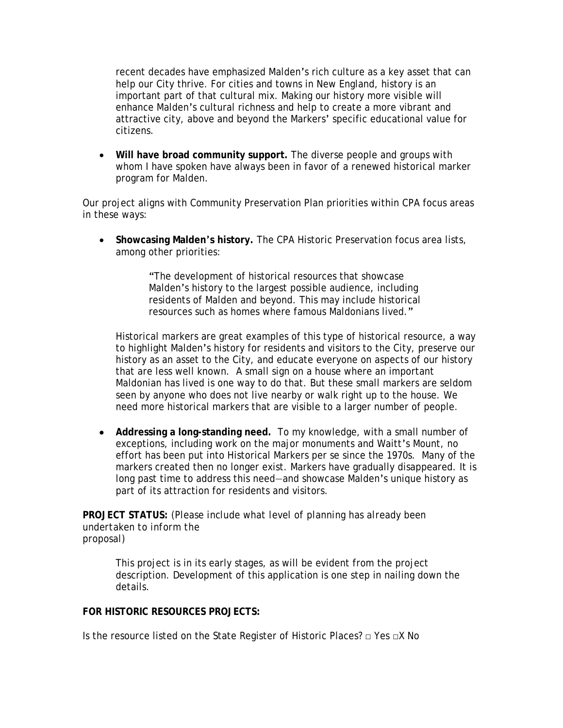recent decades have emphasized Malden's rich culture as a key asset that can help our City thrive. For cities and towns in New England, history is an important part of that cultural mix. Making our history more visible will enhance Malden's cultural richness and help to create a more vibrant and attractive city, above and beyond the Markers' specific educational value for citizens.

 **Will have broad community support.** The diverse people and groups with whom I have spoken have always been in favor of a renewed historical marker program for Malden.

Our project aligns with Community Preservation Plan priorities within CPA focus areas in these ways:

 **Showcasing Malden's history.** The CPA Historic Preservation focus area lists, among other priorities:

> "The development of historical resources that showcase Malden's history to the largest possible audience, including residents of Malden and beyond. This may include historical resources such as homes where famous Maldonians lived."

Historical markers are great examples of this type of historical resource, a way to highlight Malden's history for residents and visitors to the City, preserve our history as an asset to the City, and educate everyone on aspects of our history that are less well known. A small sign on a house where an important Maldonian has lived is one way to do that. But these small markers are seldom seen by anyone who does not live nearby or walk right up to the house. We need more historical markers that are visible to a larger number of people.

 **Addressing a long-standing need.** To my knowledge, with a small number of exceptions, including work on the major monuments and Waitt's Mount, no effort has been put into Historical Markers per se since the 1970s. Many of the markers created then no longer exist. Markers have gradually disappeared. It is long past time to address this need—and showcase Malden's unique history as part of its attraction for residents and visitors.

**PROJECT STATUS:** *(Please include what level of planning has already been undertaken to inform the proposal)*

This project is in its early stages, as will be evident from the project description. Development of this application is one step in nailing down the details.

# **FOR HISTORIC RESOURCES PROJECTS:**

Is the resource listed on the State Register of Historic Places? □ Yes □X No